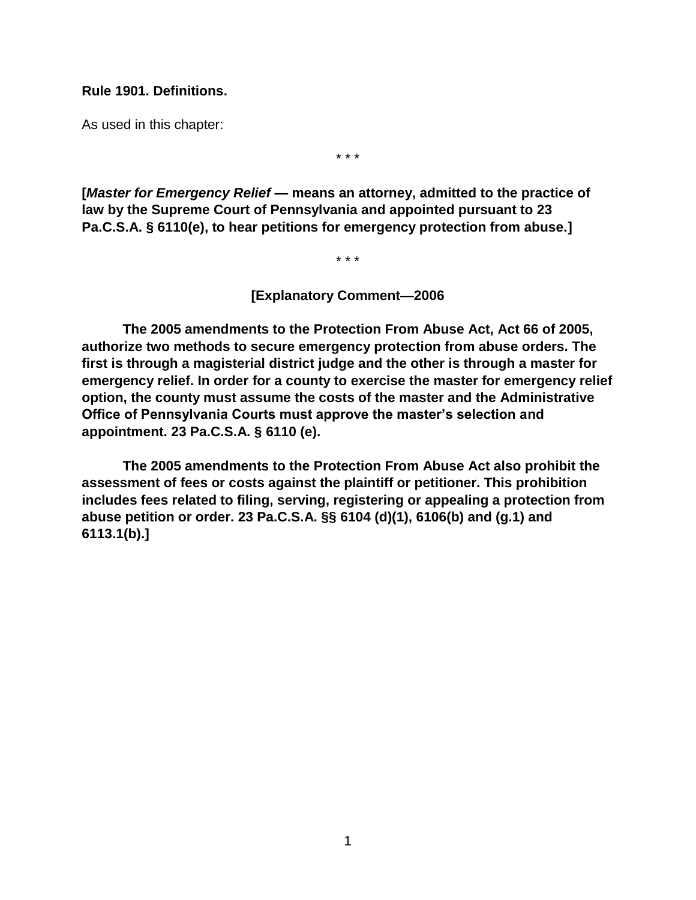#### **Rule 1901. Definitions.**

As used in this chapter:

\* \* \*

**[***Master for Emergency Relief* **— means an attorney, admitted to the practice of law by the Supreme Court of Pennsylvania and appointed pursuant to 23 Pa.C.S.A. § 6110(e), to hear petitions for emergency protection from abuse.]**

\* \* \*

**[Explanatory Comment—2006**

**The 2005 amendments to the Protection From Abuse Act, Act 66 of 2005, authorize two methods to secure emergency protection from abuse orders. The first is through a magisterial district judge and the other is through a master for emergency relief. In order for a county to exercise the master for emergency relief option, the county must assume the costs of the master and the Administrative Office of Pennsylvania Courts must approve the master's selection and appointment. 23 Pa.C.S.A. § 6110 (e).**

**The 2005 amendments to the Protection From Abuse Act also prohibit the assessment of fees or costs against the plaintiff or petitioner. This prohibition includes fees related to filing, serving, registering or appealing a protection from abuse petition or order. 23 Pa.C.S.A. §§ 6104 (d)(1), 6106(b) and (g.1) and 6113.1(b).]**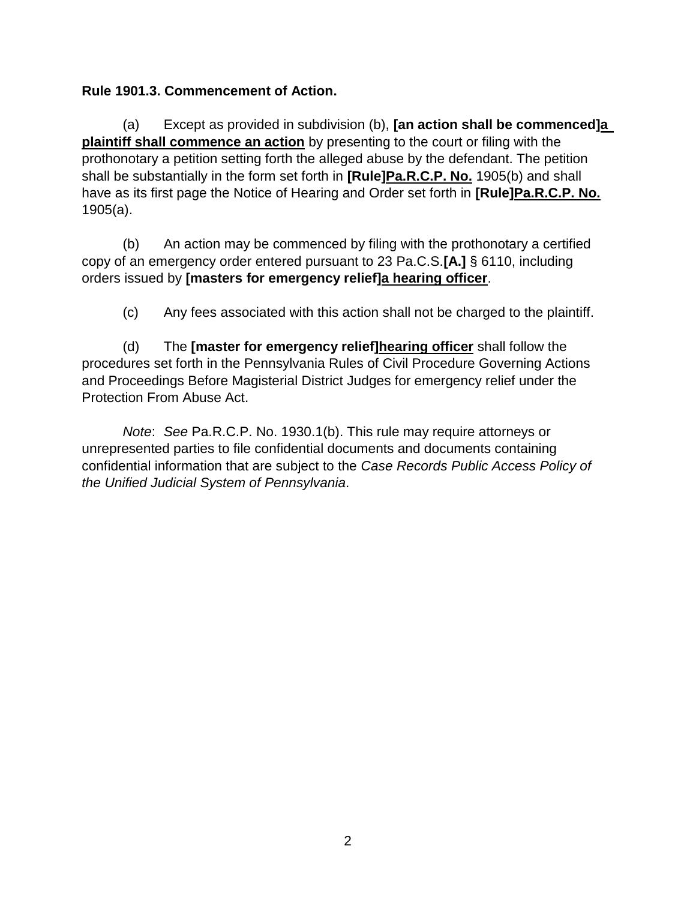# **Rule 1901.3. Commencement of Action.**

(a) Except as provided in subdivision (b), **[an action shall be commenced]a plaintiff shall commence an action** by presenting to the court or filing with the prothonotary a petition setting forth the alleged abuse by the defendant. The petition shall be substantially in the form set forth in **[Rule]Pa.R.C.P. No.** 1905(b) and shall have as its first page the Notice of Hearing and Order set forth in **[Rule]Pa.R.C.P. No.** 1905(a).

(b) An action may be commenced by filing with the prothonotary a certified copy of an emergency order entered pursuant to 23 Pa.C.S.**[A.]** § 6110, including orders issued by **[masters for emergency relief]a hearing officer**.

(c) Any fees associated with this action shall not be charged to the plaintiff.

(d) The **[master for emergency relief]hearing officer** shall follow the procedures set forth in the Pennsylvania Rules of Civil Procedure Governing Actions and Proceedings Before Magisterial District Judges for emergency relief under the Protection From Abuse Act.

*Note*: *See* Pa.R.C.P. No. 1930.1(b). This rule may require attorneys or unrepresented parties to file confidential documents and documents containing confidential information that are subject to the *Case Records Public Access Policy of the Unified Judicial System of Pennsylvania*.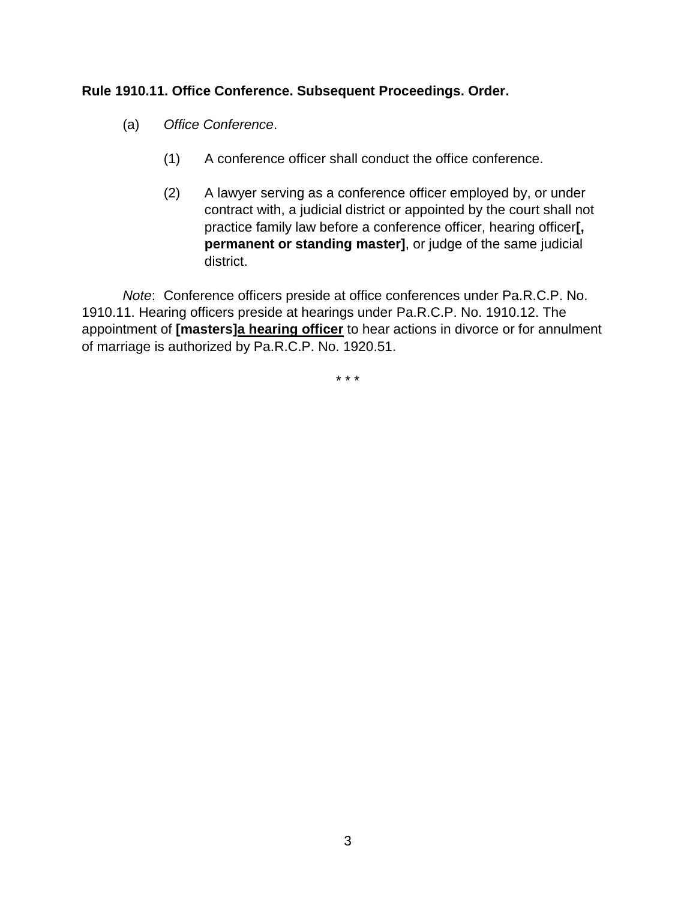### **Rule 1910.11. Office Conference. Subsequent Proceedings. Order.**

- (a) *Office Conference*.
	- (1) A conference officer shall conduct the office conference.
	- (2) A lawyer serving as a conference officer employed by, or under contract with, a judicial district or appointed by the court shall not practice family law before a conference officer, hearing officer**[, permanent or standing master]**, or judge of the same judicial district.

*Note*: Conference officers preside at office conferences under Pa.R.C.P. No. 1910.11. Hearing officers preside at hearings under [Pa.R.C.P. No. 1910.12.](http://www.westlaw.com/Link/Document/FullText?findType=L&pubNum=1000781&cite=PASTRCPR1910.12&originatingDoc=N1AB2B9D0817C11DBAFBBAA2954D6A827&refType=LQ&originationContext=document&vr=3.0&rs=cblt1.0&transitionType=DocumentItem&contextData=(sc.Search)) The appointment of **[masters]a hearing officer** to hear actions in divorce or for annulment of marriage is authorized by Pa.R.C.P. No. 1920.51.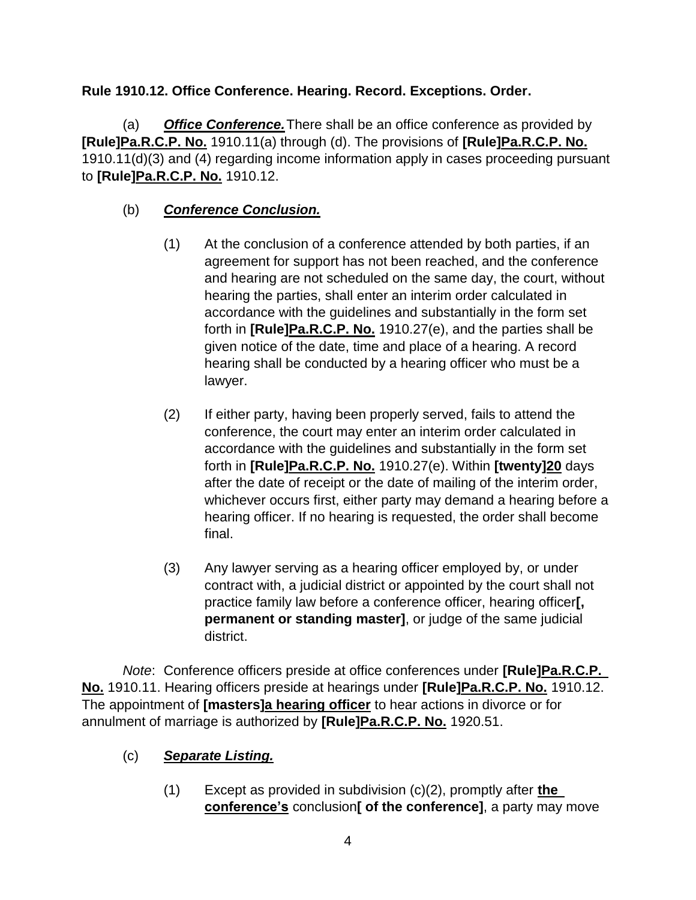# **Rule 1910.12. Office Conference. Hearing. Record. Exceptions. Order.**

(a) *Office Conference.*There shall be an office conference as provided by **[Rule]Pa.R.C.P. No.** 1910.11(a) through (d). The provisions of **[Rule]Pa.R.C.P. No.** 1910.11(d)(3) and (4) regarding income information apply in cases proceeding pursuant to **[Rule]Pa.R.C.P. No.** 1910.12.

# (b) *Conference Conclusion.*

- (1) At the conclusion of a conference attended by both parties, if an agreement for support has not been reached, and the conference and hearing are not scheduled on the same day, the court, without hearing the parties, shall enter an interim order calculated in accordance with the guidelines and substantially in the form set forth in **[Rule]Pa.R.C.P. No.** 1910.27(e), and the parties shall be given notice of the date, time and place of a hearing. A record hearing shall be conducted by a hearing officer who must be a lawyer.
- (2) If either party, having been properly served, fails to attend the conference, the court may enter an interim order calculated in accordance with the guidelines and substantially in the form set forth in **[Rule]Pa.R.C.P. No.** 1910.27(e). Within **[twenty]20** days after the date of receipt or the date of mailing of the interim order, whichever occurs first, either party may demand a hearing before a hearing officer. If no hearing is requested, the order shall become final.
- (3) Any lawyer serving as a hearing officer employed by, or under contract with, a judicial district or appointed by the court shall not practice family law before a conference officer, hearing officer**[, permanent or standing master]**, or judge of the same judicial district.

*Note*: Conference officers preside at office conferences under **[Rule]Pa.R.C.P. No.** 1910.11. Hearing officers preside at hearings under **[Rule]Pa.R.C.P. No.** 1910.12. The appointment of **[masters]a hearing officer** to hear actions in divorce or for annulment of marriage is authorized by **[Rule]Pa.R.C.P. No.** 1920.51.

# (c) *Separate Listing.*

(1) Except as provided in subdivision (c)(2), promptly after **the conference's** conclusion**[ of the conference]**, a party may move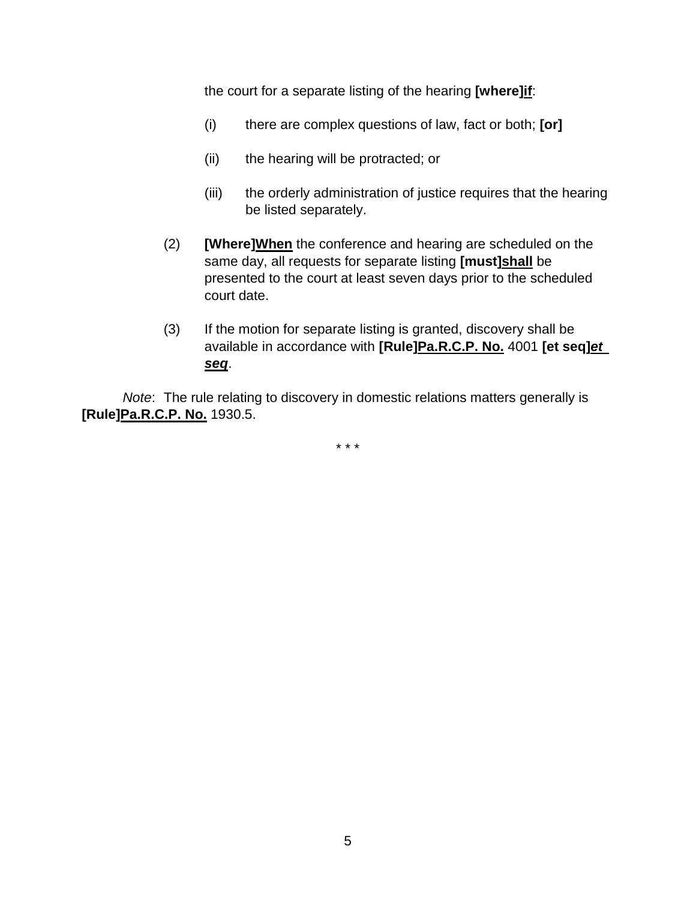the court for a separate listing of the hearing **[where]if**:

- (i) there are complex questions of law, fact or both; **[or]**
- (ii) the hearing will be protracted; or
- (iii) the orderly administration of justice requires that the hearing be listed separately.
- (2) **[Where]When** the conference and hearing are scheduled on the same day, all requests for separate listing **[must]shall** be presented to the court at least seven days prior to the scheduled court date.
- (3) If the motion for separate listing is granted, discovery shall be available in accordance with **[Rule]Pa.R.C.P. No.** 4001 **[et seq]***et seq*.

*Note*: The rule relating to discovery in domestic relations matters generally is **[Rule]Pa.R.C.P. No.** 1930.5.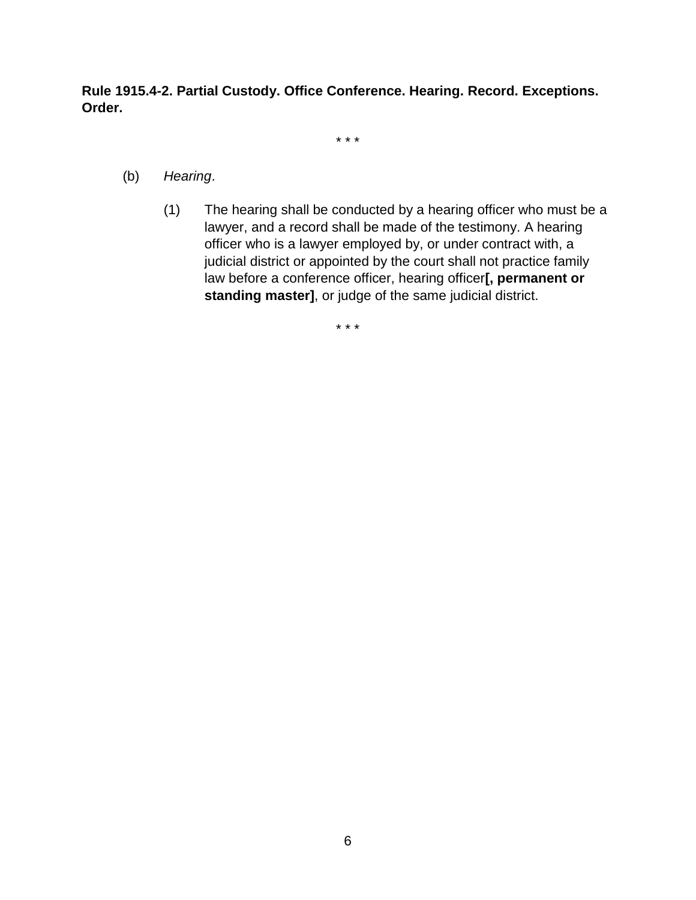**Rule 1915.4-2. Partial Custody. Office Conference. Hearing. Record. Exceptions. Order.**

\* \* \*

- (b) *Hearing*.
	- (1) The hearing shall be conducted by a hearing officer who must be a lawyer, and a record shall be made of the testimony. A hearing officer who is a lawyer employed by, or under contract with, a judicial district or appointed by the court shall not practice family law before a conference officer, hearing officer**[, permanent or standing master]**, or judge of the same judicial district.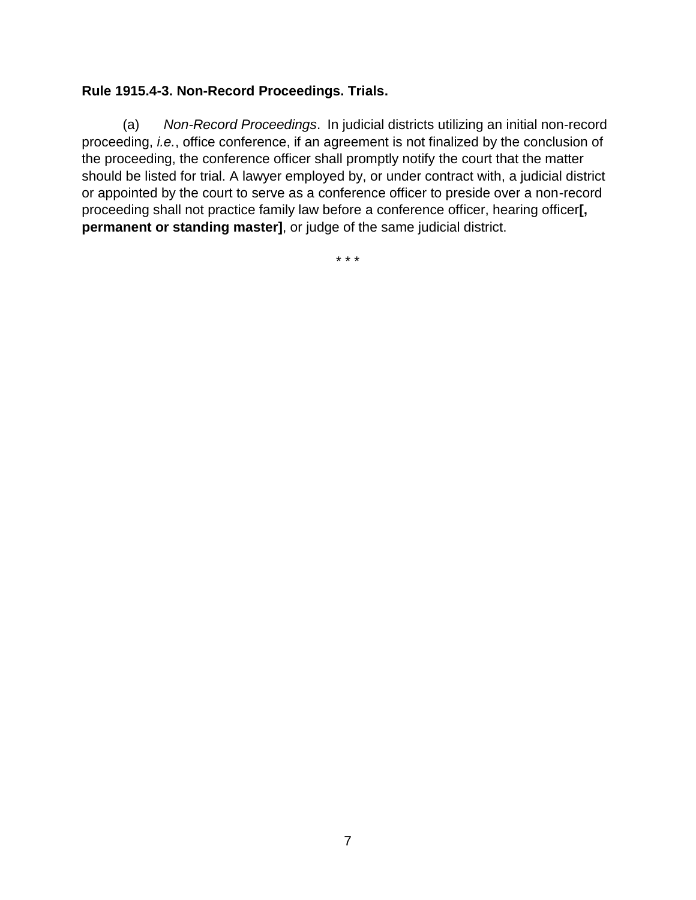# **Rule 1915.4-3. Non-Record Proceedings. Trials.**

(a) *Non-Record Proceedings*. In judicial districts utilizing an initial non-record proceeding, *i.e.*, office conference, if an agreement is not finalized by the conclusion of the proceeding, the conference officer shall promptly notify the court that the matter should be listed for trial. A lawyer employed by, or under contract with, a judicial district or appointed by the court to serve as a conference officer to preside over a non-record proceeding shall not practice family law before a conference officer, hearing officer**[, permanent or standing master]**, or judge of the same judicial district.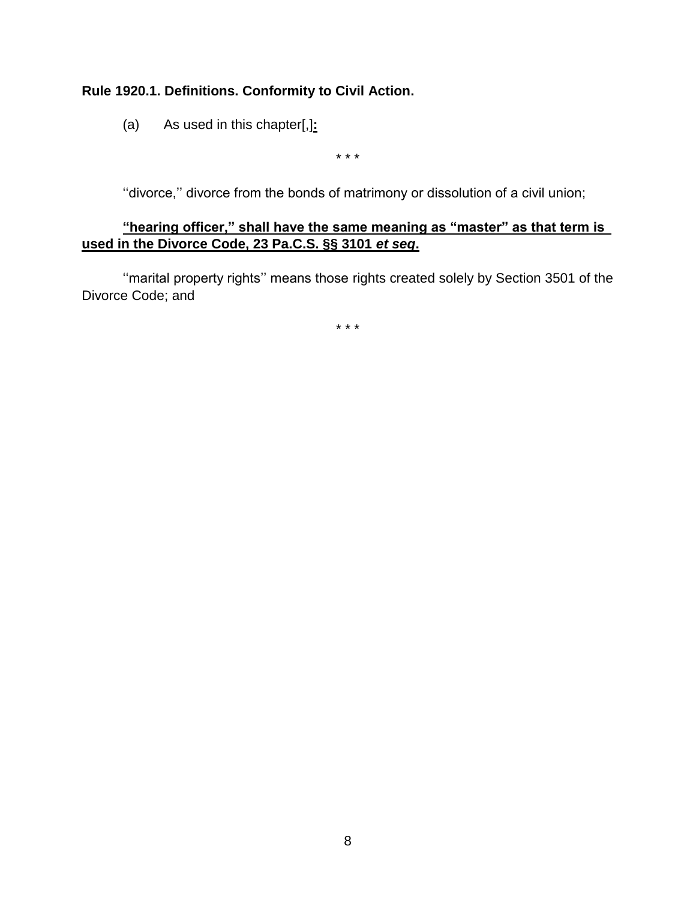# **Rule 1920.1. Definitions. Conformity to Civil Action.**

(a) As used in this chapter[,]**:**

\* \* \*

''divorce,'' divorce from the bonds of matrimony or dissolution of a civil union;

# **"hearing officer," shall have the same meaning as "master" as that term is used in the Divorce Code, 23 Pa.C.S. §§ 3101** *et seq***.**

''marital property rights'' means those rights created solely by Section 3501 of the Divorce Code; and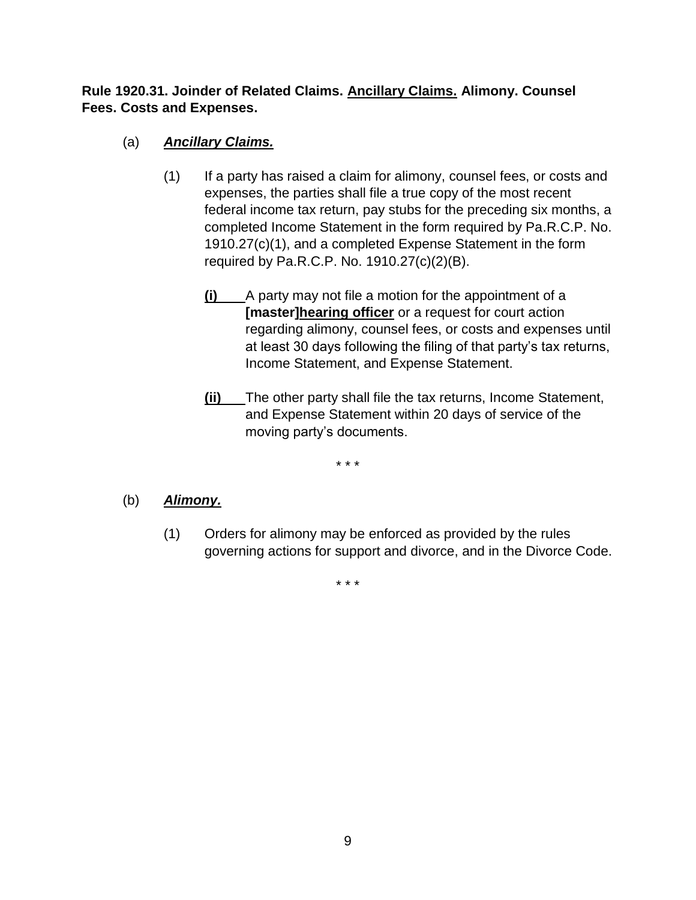# **Rule 1920.31. Joinder of Related Claims. Ancillary Claims. Alimony. Counsel Fees. Costs and Expenses.**

# (a) *Ancillary Claims.*

- (1) If a party has raised a claim for alimony, counsel fees, or costs and expenses, the parties shall file a true copy of the most recent federal income tax return, pay stubs for the preceding six months, a completed Income Statement in the form required by Pa.R.C.P. No. 1910.27(c)(1), and a completed Expense Statement in the form required by Pa.R.C.P. No. 1910.27(c)(2)(B).
	- **(i)** A party may not file a motion for the appointment of a **[master]hearing officer** or a request for court action regarding alimony, counsel fees, or costs and expenses until at least 30 days following the filing of that party's tax returns, Income Statement, and Expense Statement.
	- **(ii)** The other party shall file the tax returns, Income Statement, and Expense Statement within 20 days of service of the moving party's documents.

\* \* \*

# (b) *Alimony.*

(1) Orders for alimony may be enforced as provided by the rules governing actions for support and divorce, and in the Divorce Code.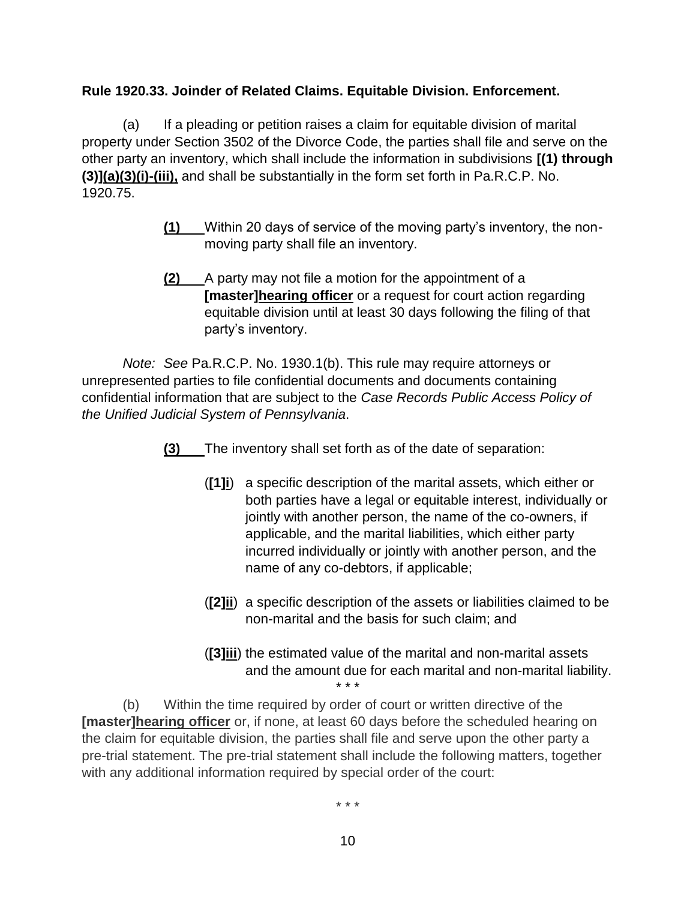# **Rule 1920.33. Joinder of Related Claims. Equitable Division. Enforcement.**

(a) If a pleading or petition raises a claim for equitable division of marital property under Section 3502 of the Divorce Code, the parties shall file and serve on the other party an inventory, which shall include the information in subdivisions **[(1) through (3)](a)(3)(i)-(iii),** and shall be substantially in the form set forth in Pa.R.C.P. No. 1920.75.

- **(1)** Within 20 days of service of the moving party's inventory, the nonmoving party shall file an inventory.
- **(2)** A party may not file a motion for the appointment of a **[master]hearing officer** or a request for court action regarding equitable division until at least 30 days following the filing of that party's inventory.

*Note: See* Pa.R.C.P. No. 1930.1(b). This rule may require attorneys or unrepresented parties to file confidential documents and documents containing confidential information that are subject to the *Case Records Public Access Policy of the Unified Judicial System of Pennsylvania*.

**(3)** The inventory shall set forth as of the date of separation:

- (**[1]i**) a specific description of the marital assets, which either or both parties have a legal or equitable interest, individually or jointly with another person, the name of the co-owners, if applicable, and the marital liabilities, which either party incurred individually or jointly with another person, and the name of any co-debtors, if applicable;
- (**[2]ii**) a specific description of the assets or liabilities claimed to be non-marital and the basis for such claim; and
- (**[3]iii**) the estimated value of the marital and non-marital assets and the amount due for each marital and non-marital liability. \* \* \*

(b) Within the time required by order of court or written directive of the **[master]hearing officer** or, if none, at least 60 days before the scheduled hearing on the claim for equitable division, the parties shall file and serve upon the other party a pre-trial statement. The pre-trial statement shall include the following matters, together with any additional information required by special order of the court: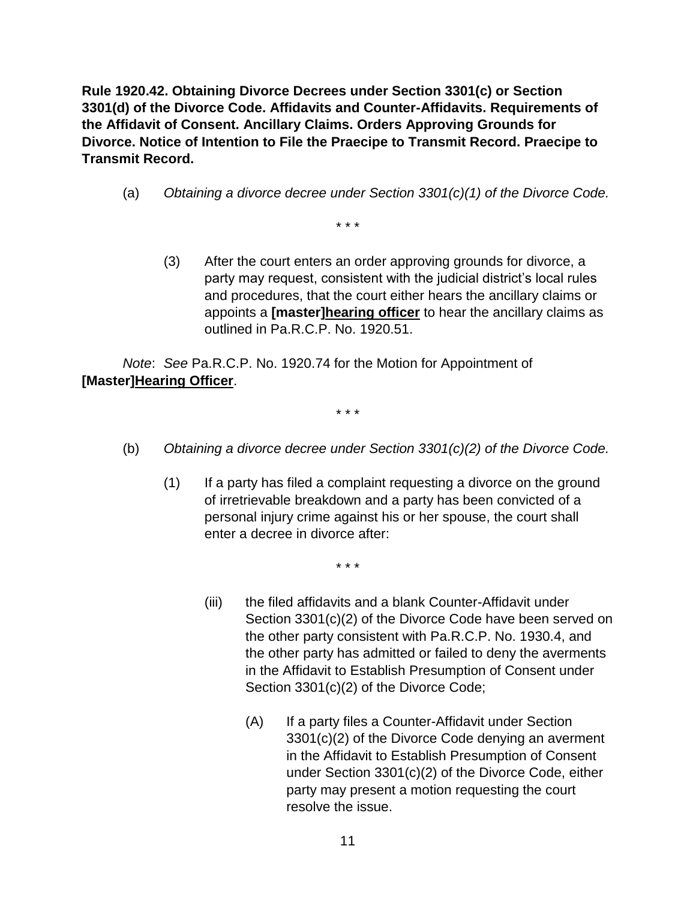**Rule 1920.42. Obtaining Divorce Decrees under Section 3301(c) or Section 3301(d) of the Divorce Code. Affidavits and Counter-Affidavits. Requirements of the Affidavit of Consent. Ancillary Claims. Orders Approving Grounds for Divorce. Notice of Intention to File the Praecipe to Transmit Record. Praecipe to Transmit Record.**

(a) *Obtaining a divorce decree under Section 3301(c)(1) of the Divorce Code.*

\* \* \*

(3) After the court enters an order approving grounds for divorce, a party may request, consistent with the judicial district's local rules and procedures, that the court either hears the ancillary claims or appoints a **[master]hearing officer** to hear the ancillary claims as outlined in Pa.R.C.P. No. 1920.51.

*Note*: *See* Pa.R.C.P. No. 1920.74 for the Motion for Appointment of **[Master]Hearing Officer**.

\* \* \*

- (b) *Obtaining a divorce decree under Section 3301(c)(2) of the Divorce Code.*
	- (1) If a party has filed a complaint requesting a divorce on the ground of irretrievable breakdown and a party has been convicted of a personal injury crime against his or her spouse, the court shall enter a decree in divorce after:

- (iii) the filed affidavits and a blank Counter-Affidavit under Section 3301(c)(2) of the Divorce Code have been served on the other party consistent with Pa.R.C.P. No. 1930.4, and the other party has admitted or failed to deny the averments in the Affidavit to Establish Presumption of Consent under Section 3301(c)(2) of the Divorce Code;
	- (A) If a party files a Counter-Affidavit under Section 3301(c)(2) of the Divorce Code denying an averment in the Affidavit to Establish Presumption of Consent under Section 3301(c)(2) of the Divorce Code, either party may present a motion requesting the court resolve the issue.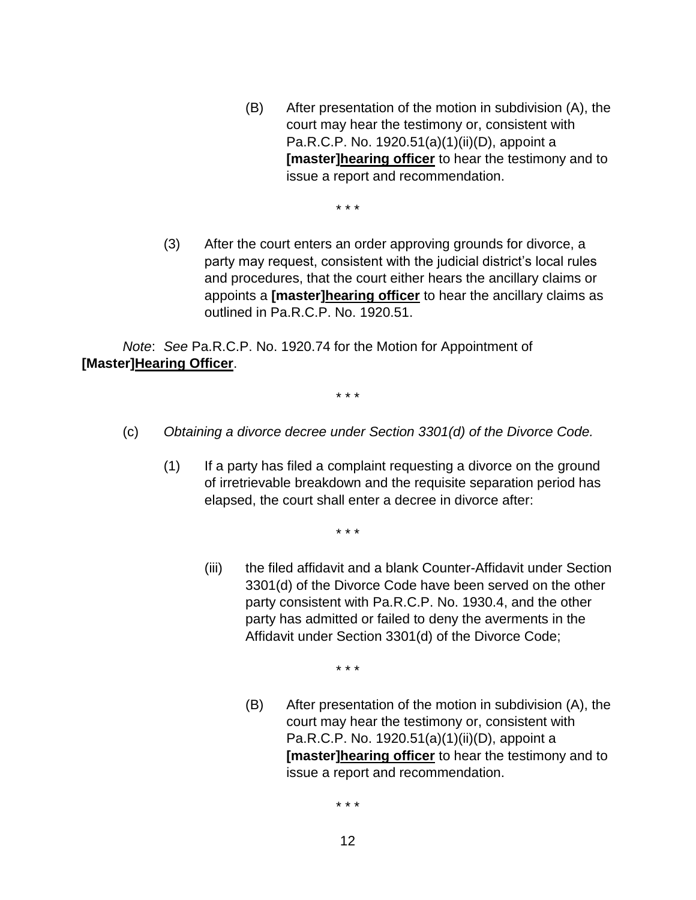(B) After presentation of the motion in subdivision (A), the court may hear the testimony or, consistent with Pa.R.C.P. No. 1920.51(a)(1)(ii)(D), appoint a **[master]hearing officer** to hear the testimony and to issue a report and recommendation.

\* \* \*

(3) After the court enters an order approving grounds for divorce, a party may request, consistent with the judicial district's local rules and procedures, that the court either hears the ancillary claims or appoints a **[master]hearing officer** to hear the ancillary claims as outlined in Pa.R.C.P. No. 1920.51.

*Note*: *See* Pa.R.C.P. No. 1920.74 for the Motion for Appointment of **[Master]Hearing Officer**.

\* \* \*

- (c) *Obtaining a divorce decree under Section 3301(d) of the Divorce Code.*
	- (1) If a party has filed a complaint requesting a divorce on the ground of irretrievable breakdown and the requisite separation period has elapsed, the court shall enter a decree in divorce after:

\* \* \*

(iii) the filed affidavit and a blank Counter-Affidavit under Section 3301(d) of the Divorce Code have been served on the other party consistent with Pa.R.C.P. No. 1930.4, and the other party has admitted or failed to deny the averments in the Affidavit under Section 3301(d) of the Divorce Code;

\* \* \*

(B) After presentation of the motion in subdivision (A), the court may hear the testimony or, consistent with Pa.R.C.P. No. 1920.51(a)(1)(ii)(D), appoint a **[master]hearing officer** to hear the testimony and to issue a report and recommendation.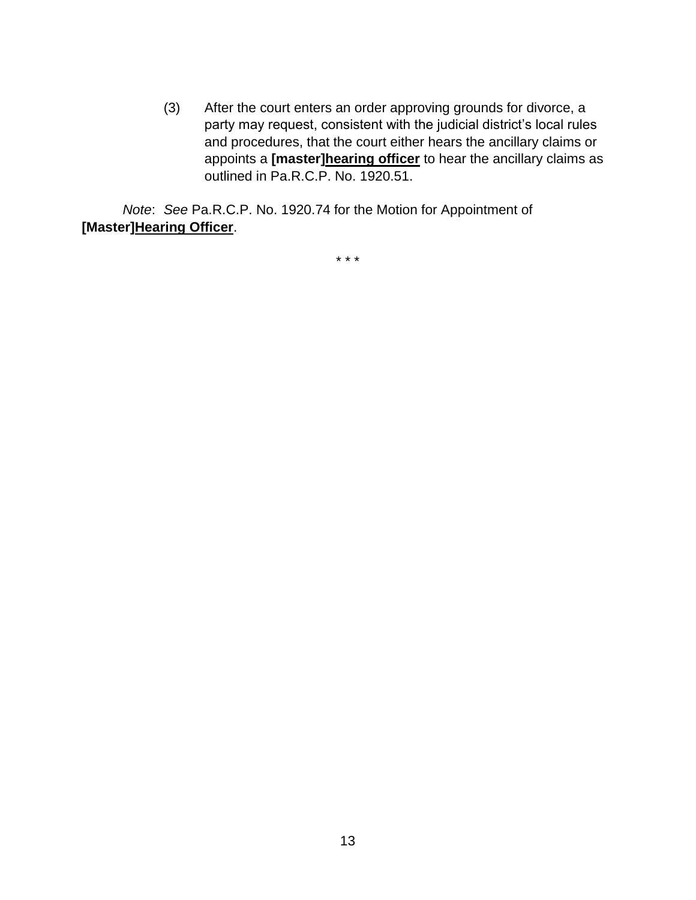(3) After the court enters an order approving grounds for divorce, a party may request, consistent with the judicial district's local rules and procedures, that the court either hears the ancillary claims or appoints a **[master]hearing officer** to hear the ancillary claims as outlined in Pa.R.C.P. No. 1920.51.

*Note*: *See* Pa.R.C.P. No. 1920.74 for the Motion for Appointment of **[Master]Hearing Officer**.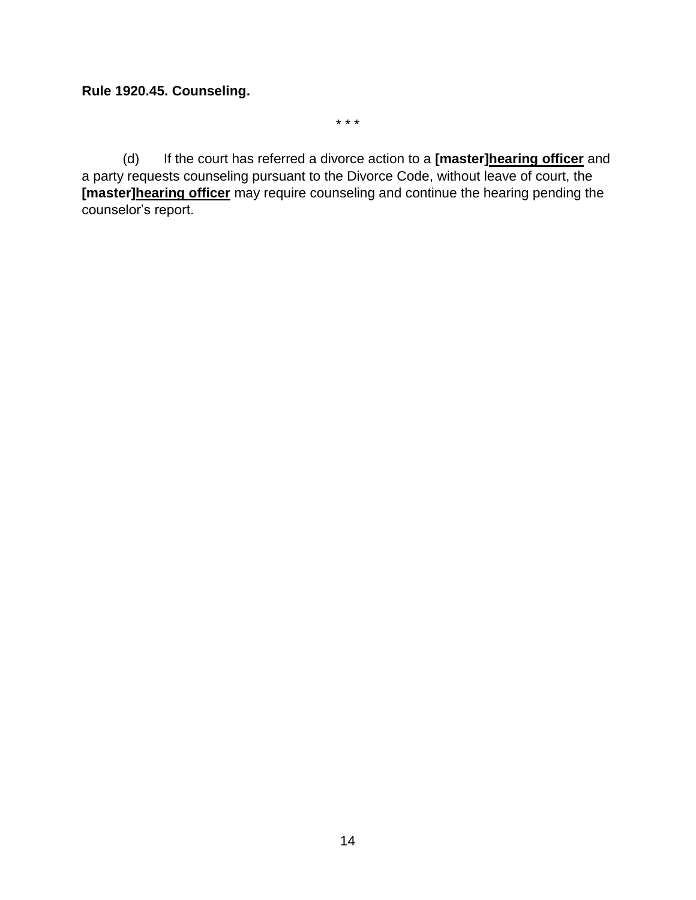#### **Rule 1920.45. Counseling.**

\* \* \*

(d) If the court has referred a divorce action to a **[master]hearing officer** and a party requests counseling pursuant to the Divorce Code, without leave of court, the **[master]hearing officer** may require counseling and continue the hearing pending the counselor's report.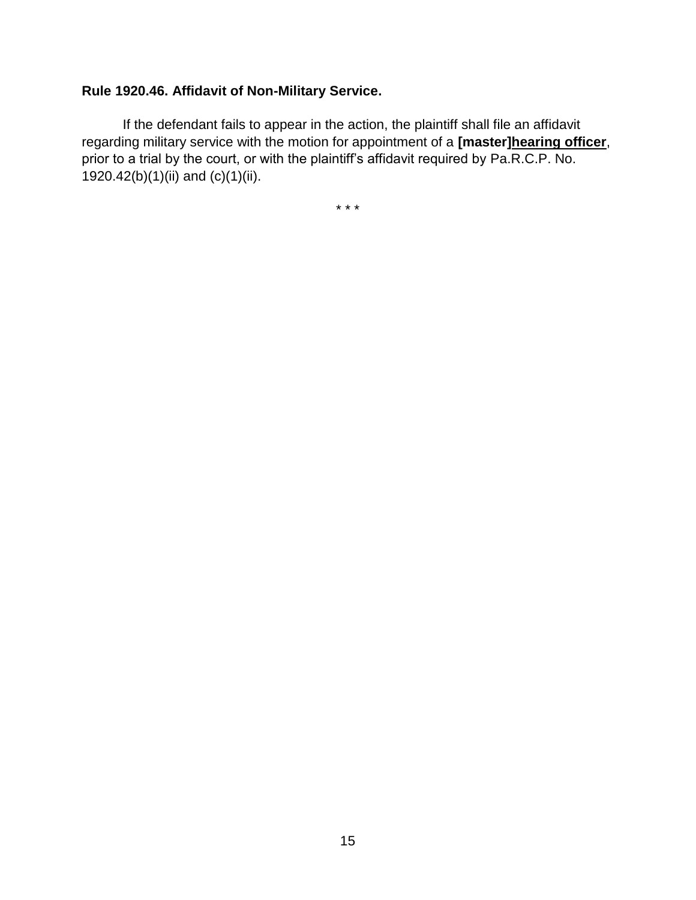# **Rule 1920.46. Affidavit of Non-Military Service.**

If the defendant fails to appear in the action, the plaintiff shall file an affidavit regarding military service with the motion for appointment of a **[master]hearing officer**, prior to a trial by the court, or with the plaintiff's affidavit required by Pa.R.C.P. No. 1920.42(b)(1)(ii) and (c)(1)(ii).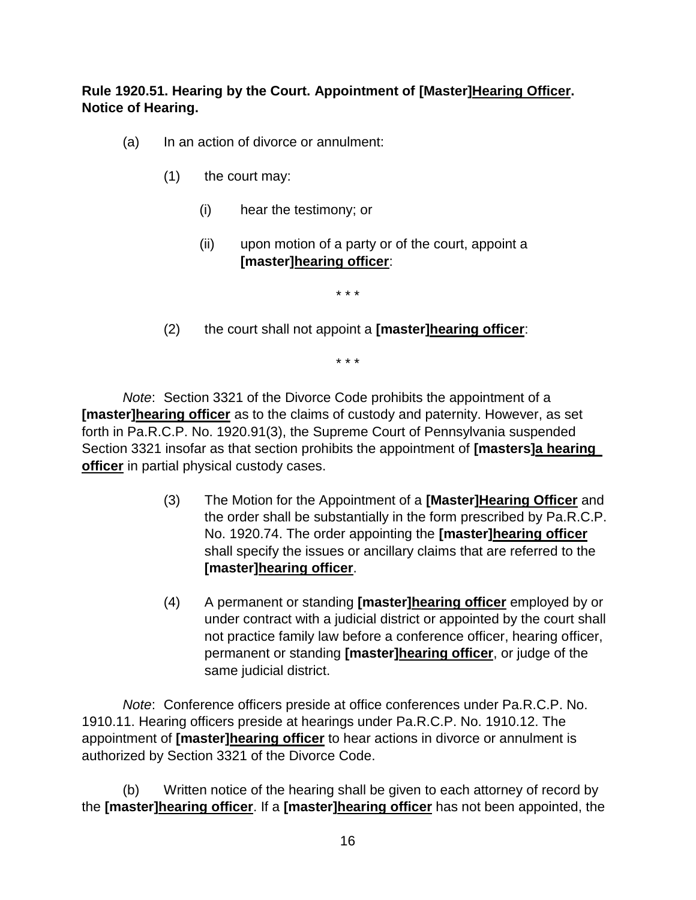**Rule 1920.51. Hearing by the Court. Appointment of [Master]Hearing Officer. Notice of Hearing.**

- (a) In an action of divorce or annulment:
	- (1) the court may:
		- (i) hear the testimony; or
		- (ii) upon motion of a party or of the court, appoint a **[master]hearing officer**:

\* \* \*

(2) the court shall not appoint a **[master]hearing officer**:

\* \* \*

*Note*: Section 3321 of the Divorce Code prohibits the appointment of a **[master]hearing officer** as to the claims of custody and paternity. However, as set forth in Pa.R.C.P. No. 1920.91(3), the Supreme Court of Pennsylvania suspended Section 3321 insofar as that section prohibits the appointment of **[masters]a hearing officer** in partial physical custody cases.

- (3) The Motion for the Appointment of a **[Master]Hearing Officer** and the order shall be substantially in the form prescribed by Pa.R.C.P. No. 1920.74. The order appointing the **[master]hearing officer** shall specify the issues or ancillary claims that are referred to the **[master]hearing officer**.
- (4) A permanent or standing **[master]hearing officer** employed by or under contract with a judicial district or appointed by the court shall not practice family law before a conference officer, hearing officer, permanent or standing **[master]hearing officer**, or judge of the same judicial district.

*Note*: Conference officers preside at office conferences under Pa.R.C.P. No. 1910.11. Hearing officers preside at hearings under Pa.R.C.P. No. 1910.12. The appointment of **[master]hearing officer** to hear actions in divorce or annulment is authorized by Section 3321 of the Divorce Code.

(b) Written notice of the hearing shall be given to each attorney of record by the **[master]hearing officer**. If a **[master]hearing officer** has not been appointed, the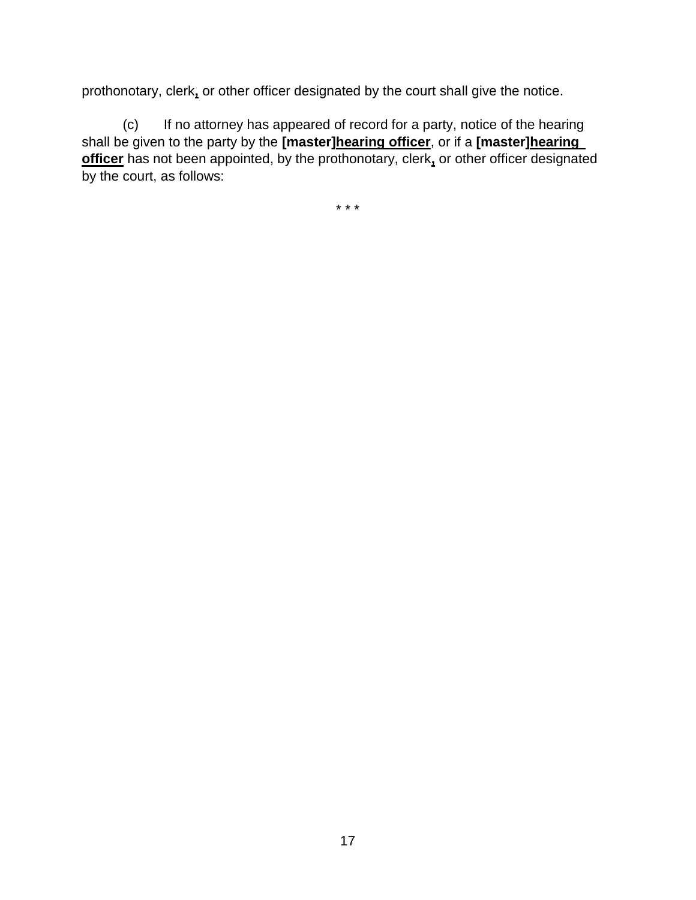prothonotary, clerk**,** or other officer designated by the court shall give the notice.

(c) If no attorney has appeared of record for a party, notice of the hearing shall be given to the party by the **[master]hearing officer**, or if a **[master]hearing officer** has not been appointed, by the prothonotary, clerk**,** or other officer designated by the court, as follows: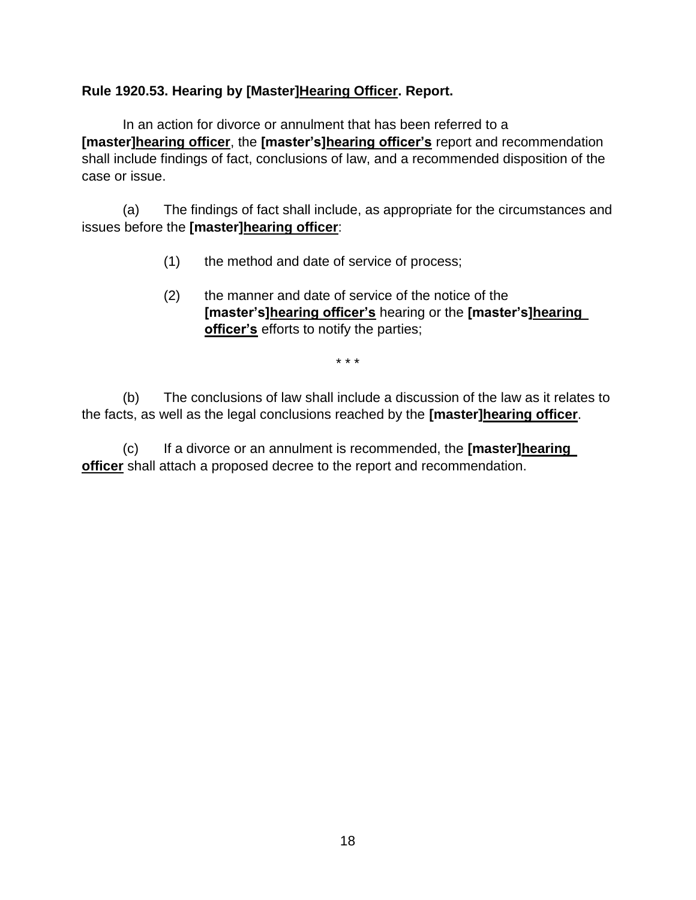# **Rule 1920.53. Hearing by [Master]Hearing Officer. Report.**

In an action for divorce or annulment that has been referred to a **[master]hearing officer**, the **[master's]hearing officer's** report and recommendation shall include findings of fact, conclusions of law, and a recommended disposition of the case or issue.

(a) The findings of fact shall include, as appropriate for the circumstances and issues before the **[master]hearing officer**:

- (1) the method and date of service of process;
- (2) the manner and date of service of the notice of the **[master's]hearing officer's** hearing or the **[master's]hearing officer's** efforts to notify the parties;

\* \* \*

(b) The conclusions of law shall include a discussion of the law as it relates to the facts, as well as the legal conclusions reached by the **[master]hearing officer**.

(c) If a divorce or an annulment is recommended, the **[master]hearing officer** shall attach a proposed decree to the report and recommendation.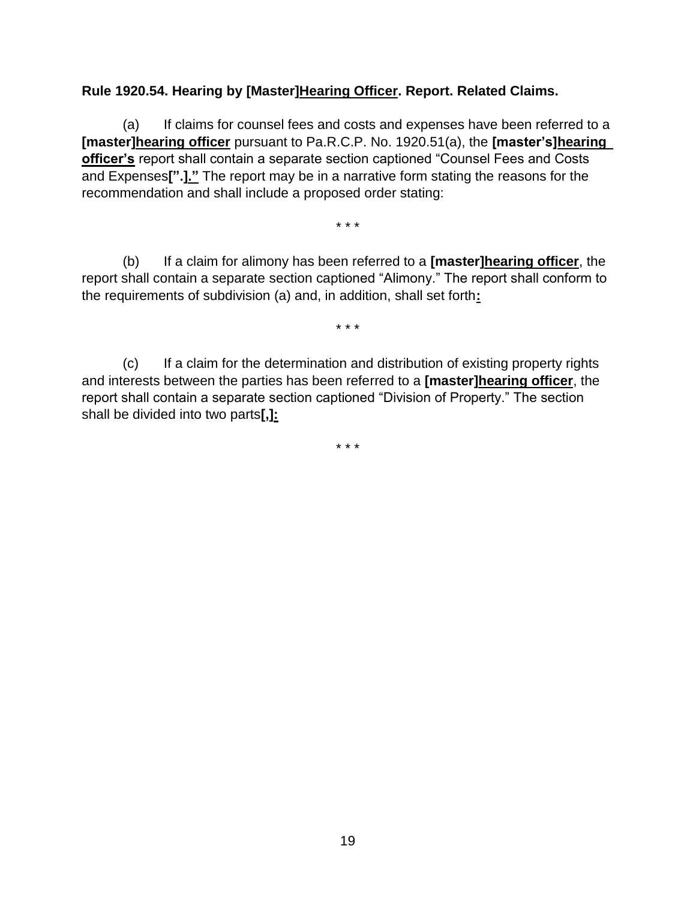# **Rule 1920.54. Hearing by [Master]Hearing Officer. Report. Related Claims.**

(a) If claims for counsel fees and costs and expenses have been referred to a **[master]hearing officer** pursuant to Pa.R.C.P. No. 1920.51(a), the **[master's]hearing officer's** report shall contain a separate section captioned "Counsel Fees and Costs and Expenses**[".]."** The report may be in a narrative form stating the reasons for the recommendation and shall include a proposed order stating:

\* \* \*

(b) If a claim for alimony has been referred to a **[master]hearing officer**, the report shall contain a separate section captioned "Alimony." The report shall conform to the requirements of subdivision (a) and, in addition, shall set forth**:**

\* \* \*

(c) If a claim for the determination and distribution of existing property rights and interests between the parties has been referred to a **[master]hearing officer**, the report shall contain a separate section captioned "Division of Property." The section shall be divided into two parts**[,]:**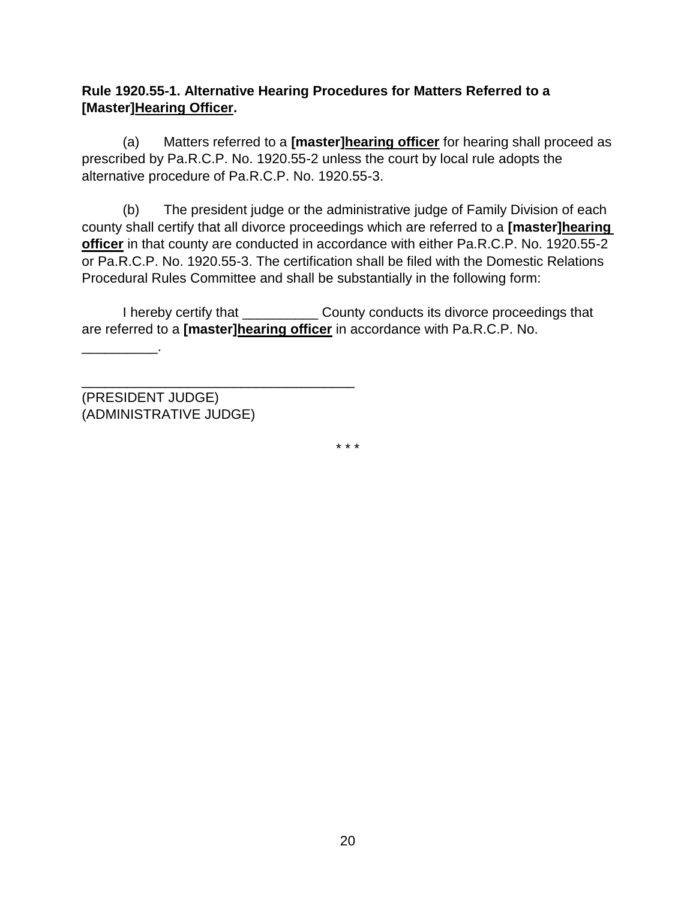# **Rule 1920.55-1. Alternative Hearing Procedures for Matters Referred to a [Master]Hearing Officer.**

(a) Matters referred to a **[master]hearing officer** for hearing shall proceed as prescribed by Pa.R.C.P. No. 1920.55-2 unless the court by local rule adopts the alternative procedure of Pa.R.C.P. No. 1920.55-3.

(b) The president judge or the administrative judge of Family Division of each county shall certify that all divorce proceedings which are referred to a **[master]hearing officer** in that county are conducted in accordance with either Pa.R.C.P. No. 1920.55-2 or Pa.R.C.P. No. 1920.55-3. The certification shall be filed with the Domestic Relations Procedural Rules Committee and shall be substantially in the following form:

I hereby certify that \_\_\_\_\_\_\_\_\_\_ County conducts its divorce proceedings that are referred to a **[master]hearing officer** in accordance with Pa.R.C.P. No.

(PRESIDENT JUDGE) (ADMINISTRATIVE JUDGE)

\_\_\_\_\_\_\_\_\_\_\_\_\_\_\_\_\_\_\_\_\_\_\_\_\_\_\_\_\_\_\_\_\_\_\_\_

\_\_\_\_\_\_\_\_\_\_.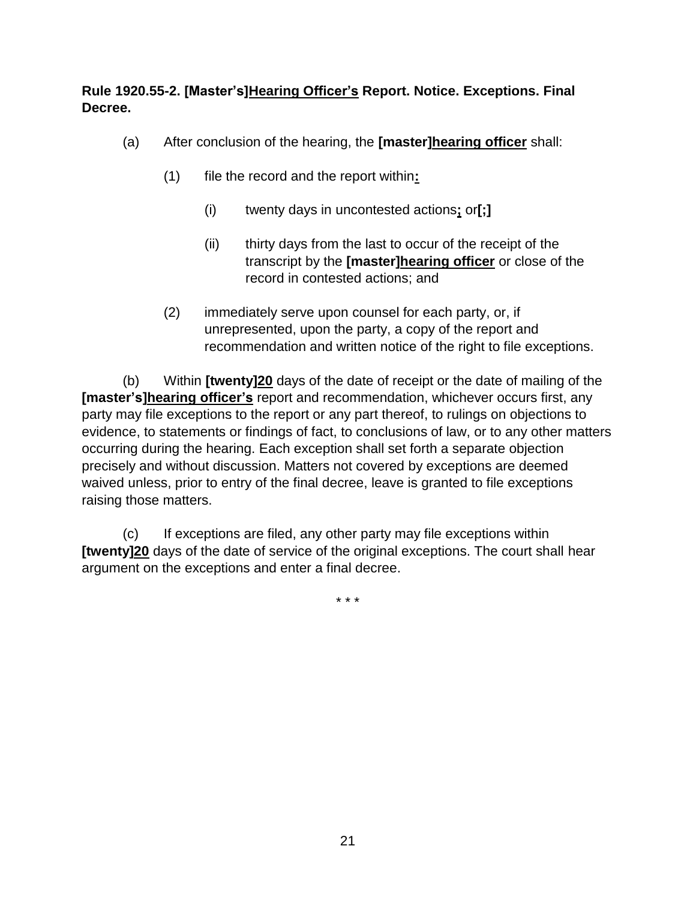# **Rule 1920.55-2. [Master's]Hearing Officer's Report. Notice. Exceptions. Final Decree.**

- (a) After conclusion of the hearing, the **[master]hearing officer** shall:
	- (1) file the record and the report within**:**
		- (i) twenty days in uncontested actions**;** or**[;]**
		- (ii) thirty days from the last to occur of the receipt of the transcript by the **[master]hearing officer** or close of the record in contested actions; and
	- (2) immediately serve upon counsel for each party, or, if unrepresented, upon the party, a copy of the report and recommendation and written notice of the right to file exceptions.

(b) Within **[twenty]20** days of the date of receipt or the date of mailing of the **[master's]hearing officer's** report and recommendation, whichever occurs first, any party may file exceptions to the report or any part thereof, to rulings on objections to evidence, to statements or findings of fact, to conclusions of law, or to any other matters occurring during the hearing. Each exception shall set forth a separate objection precisely and without discussion. Matters not covered by exceptions are deemed waived unless, prior to entry of the final decree, leave is granted to file exceptions raising those matters.

(c) If exceptions are filed, any other party may file exceptions within **[twenty]20** days of the date of service of the original exceptions. The court shall hear argument on the exceptions and enter a final decree.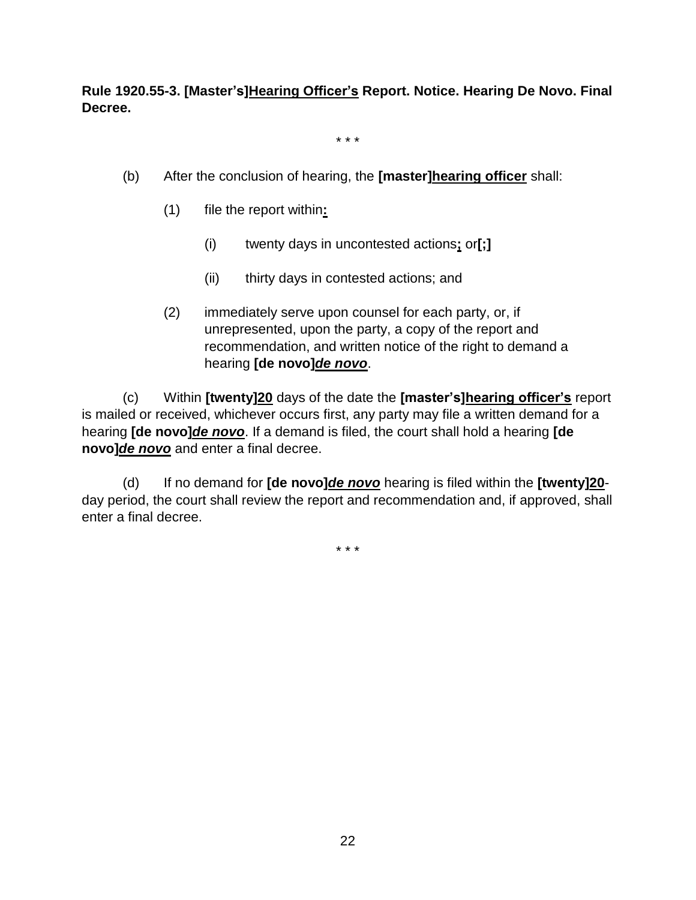**Rule 1920.55-3. [Master's]Hearing Officer's Report. Notice. Hearing De Novo. Final Decree.**

\* \* \*

- (b) After the conclusion of hearing, the **[master]hearing officer** shall:
	- (1) file the report within**:**
		- (i) twenty days in uncontested actions**;** or**[;]**
		- (ii) thirty days in contested actions; and
	- (2) immediately serve upon counsel for each party, or, if unrepresented, upon the party, a copy of the report and recommendation, and written notice of the right to demand a hearing **[de novo]***de novo*.

(c) Within **[twenty]20** days of the date the **[master's]hearing officer's** report is mailed or received, whichever occurs first, any party may file a written demand for a hearing **[de novo]***de novo*. If a demand is filed, the court shall hold a hearing **[de novo]***de novo* and enter a final decree.

(d) If no demand for **[de novo]***de novo* hearing is filed within the **[twenty]20** day period, the court shall review the report and recommendation and, if approved, shall enter a final decree.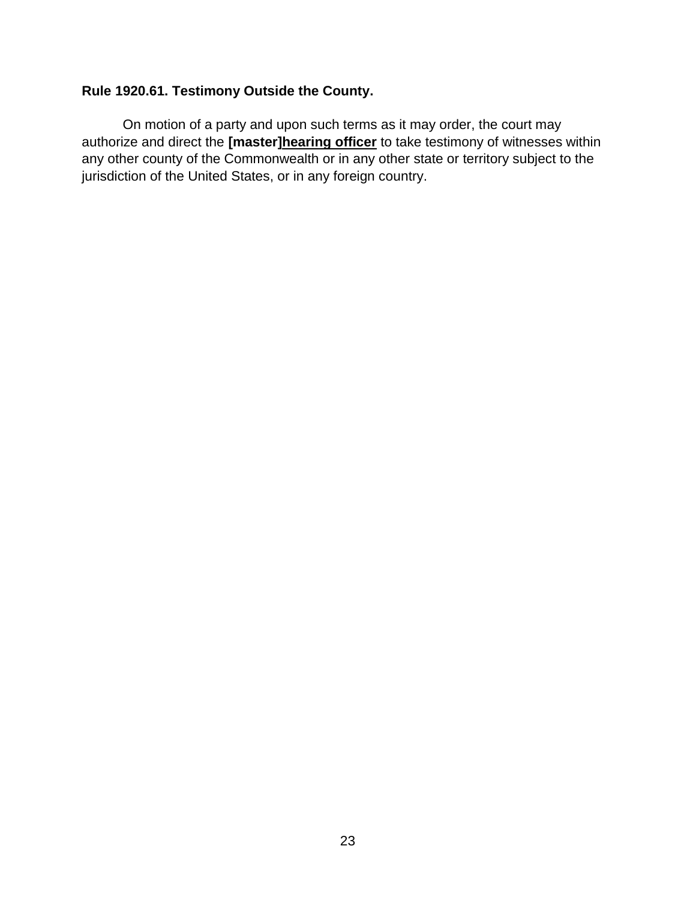# **Rule 1920.61. Testimony Outside the County.**

On motion of a party and upon such terms as it may order, the court may authorize and direct the **[master]hearing officer** to take testimony of witnesses within any other county of the Commonwealth or in any other state or territory subject to the jurisdiction of the United States, or in any foreign country.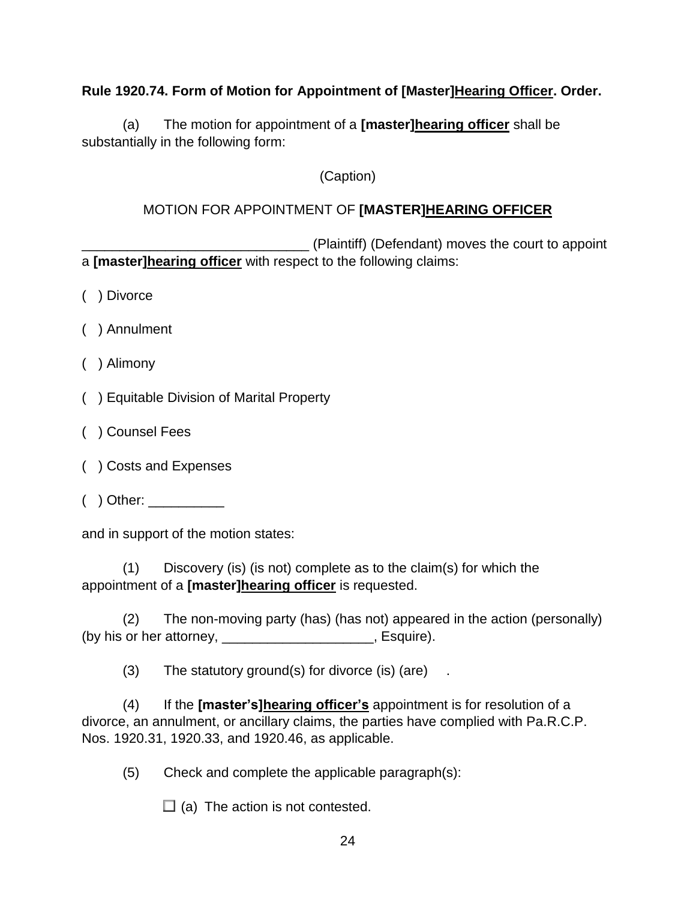# **Rule 1920.74. Form of Motion for Appointment of [Master]Hearing Officer. Order.**

(a) The motion for appointment of a **[master]hearing officer** shall be substantially in the following form:

# (Caption)

# MOTION FOR APPOINTMENT OF **[MASTER]HEARING OFFICER**

\_\_\_\_\_\_\_\_\_\_\_\_\_\_\_\_\_\_\_\_\_\_\_\_\_\_\_\_\_\_ (Plaintiff) (Defendant) moves the court to appoint a **[master]hearing officer** with respect to the following claims:

- ( ) Divorce
- ( ) Annulment
- ( ) Alimony
- ( ) Equitable Division of Marital Property
- ( ) Counsel Fees
- ( ) Costs and Expenses
- $($  ) Other:  $\_\_$

and in support of the motion states:

(1) Discovery (is) (is not) complete as to the claim(s) for which the appointment of a **[master]hearing officer** is requested.

(2) The non-moving party (has) (has not) appeared in the action (personally) (by his or her attorney, \_\_\_\_\_\_\_\_\_\_\_\_\_\_\_\_\_\_\_\_, Esquire).

 $(3)$  The statutory ground(s) for divorce (is) (are).

(4) If the **[master's]hearing officer's** appointment is for resolution of a divorce, an annulment, or ancillary claims, the parties have complied with Pa.R.C.P. Nos. 1920.31, 1920.33, and 1920.46, as applicable.

(5) Check and complete the applicable paragraph(s):

 $\Box$  (a) The action is not contested.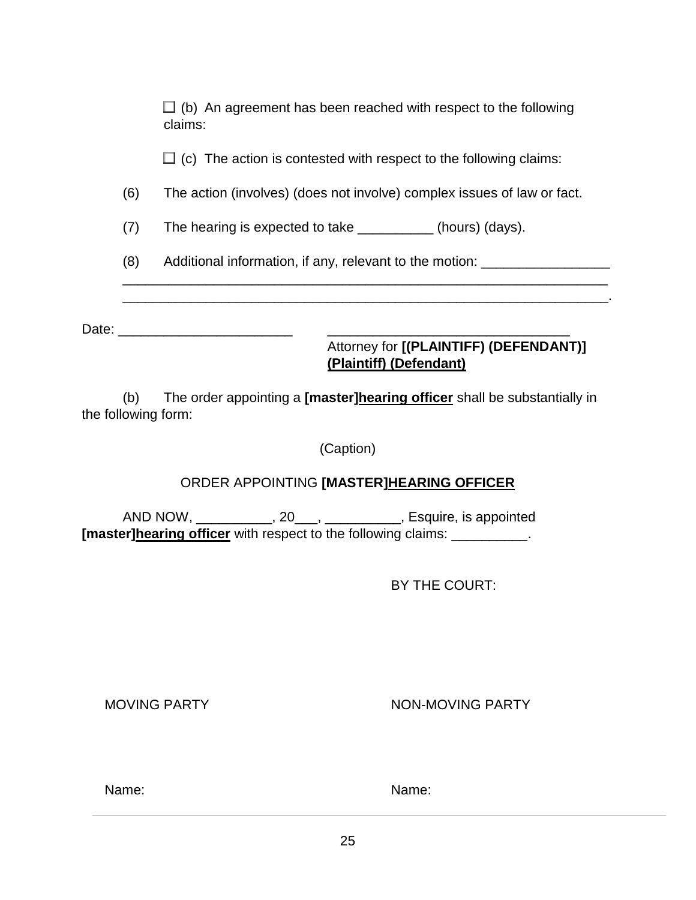| (h) | Attorney for [(PLAINTIFF) (DEFENDANT)]<br>(Plaintiff) (Defendant)<br>The order appointing a <b>Impeterlhearing officer</b> shall be substantially in                                                                           |  |  |
|-----|--------------------------------------------------------------------------------------------------------------------------------------------------------------------------------------------------------------------------------|--|--|
|     | Date: the contract of the contract of the contract of the contract of the contract of the contract of the contract of the contract of the contract of the contract of the contract of the contract of the contract of the cont |  |  |
| (8) | Additional information, if any, relevant to the motion: ________________________                                                                                                                                               |  |  |
| (7) | The hearing is expected to take ____________(hours) (days).                                                                                                                                                                    |  |  |
| (6) | The action (involves) (does not involve) complex issues of law or fact.                                                                                                                                                        |  |  |
|     | $\Box$ (c) The action is contested with respect to the following claims:                                                                                                                                                       |  |  |
|     | $\Box$ (b) An agreement has been reached with respect to the following<br>claims:                                                                                                                                              |  |  |

(b) The order appointing a **[master]hearing officer** shall be substantially in the following form:

(Caption)

# ORDER APPOINTING **[MASTER]HEARING OFFICER**

AND NOW, \_\_\_\_\_\_\_\_\_\_\_, 20\_\_\_, \_\_\_\_\_\_\_\_\_\_, Esquire, is appointed **[master]hearing officer** with respect to the following claims: \_\_\_\_\_\_\_\_\_\_\_.

BY THE COURT:

MOVING PARTY **NON-MOVING PARTY** 

Name: Name: Name: Name: Name: Name: Name: Name: Name: Name: Name: Name: Name: Name: Name: Name: Name: Name: Name: Name: Name: Name: Name:  $N$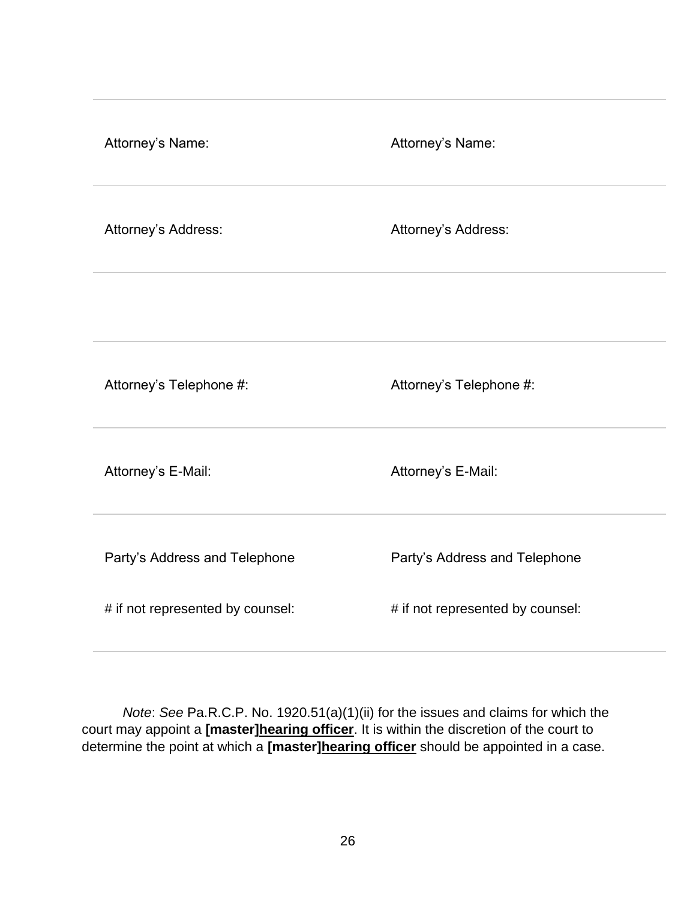| Attorney's Name:                 | Attorney's Name:                 |
|----------------------------------|----------------------------------|
| Attorney's Address:              | Attorney's Address:              |
|                                  |                                  |
| Attorney's Telephone #:          | Attorney's Telephone #:          |
| Attorney's E-Mail:               | Attorney's E-Mail:               |
| Party's Address and Telephone    | Party's Address and Telephone    |
| # if not represented by counsel: | # if not represented by counsel: |

*Note*: *See* Pa.R.C.P. No. 1920.51(a)(1)(ii) for the issues and claims for which the court may appoint a **[master]hearing officer**. It is within the discretion of the court to determine the point at which a **[master]hearing officer** should be appointed in a case.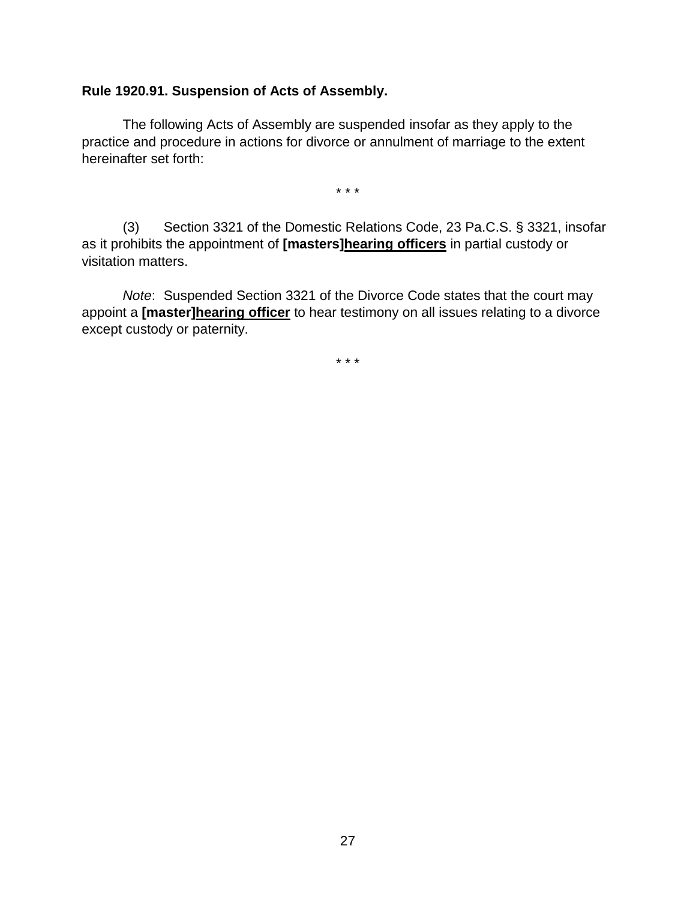#### **Rule 1920.91. Suspension of Acts of Assembly.**

The following Acts of Assembly are suspended insofar as they apply to the practice and procedure in actions for divorce or annulment of marriage to the extent hereinafter set forth:

\* \* \*

(3) Section 3321 of the Domestic Relations Code, 23 Pa.C.S. § 3321, insofar as it prohibits the appointment of **[masters]hearing officers** in partial custody or visitation matters.

*Note*: Suspended Section 3321 of the Divorce Code states that the court may appoint a **[master]hearing officer** to hear testimony on all issues relating to a divorce except custody or paternity.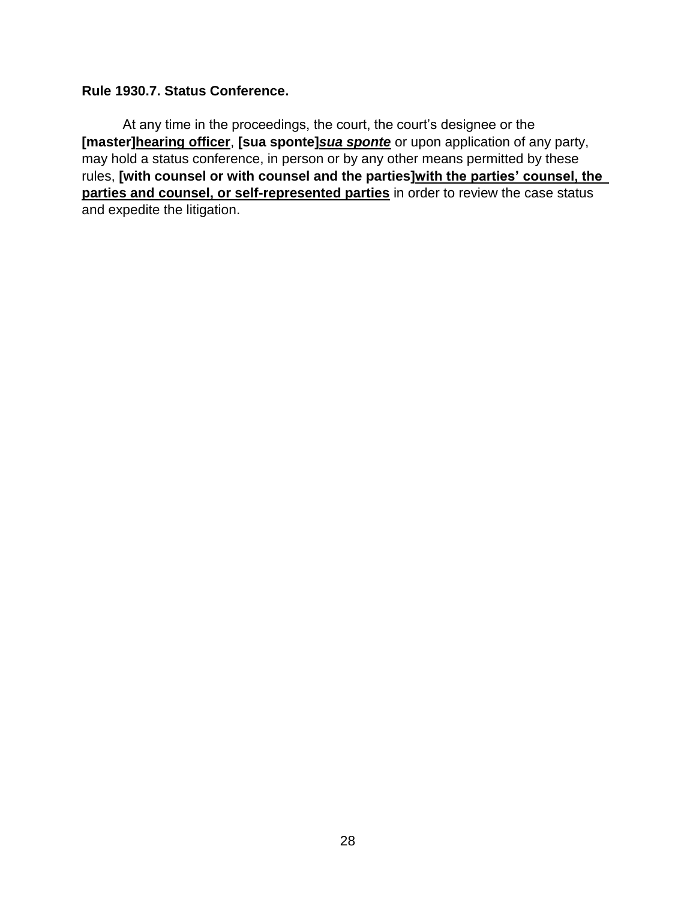#### **Rule 1930.7. Status Conference.**

At any time in the proceedings, the court, the court's designee or the **[master]hearing officer**, **[sua sponte]***sua sponte* or upon application of any party, may hold a status conference, in person or by any other means permitted by these rules, **[with counsel or with counsel and the parties]with the parties' counsel, the parties and counsel, or self-represented parties** in order to review the case status and expedite the litigation.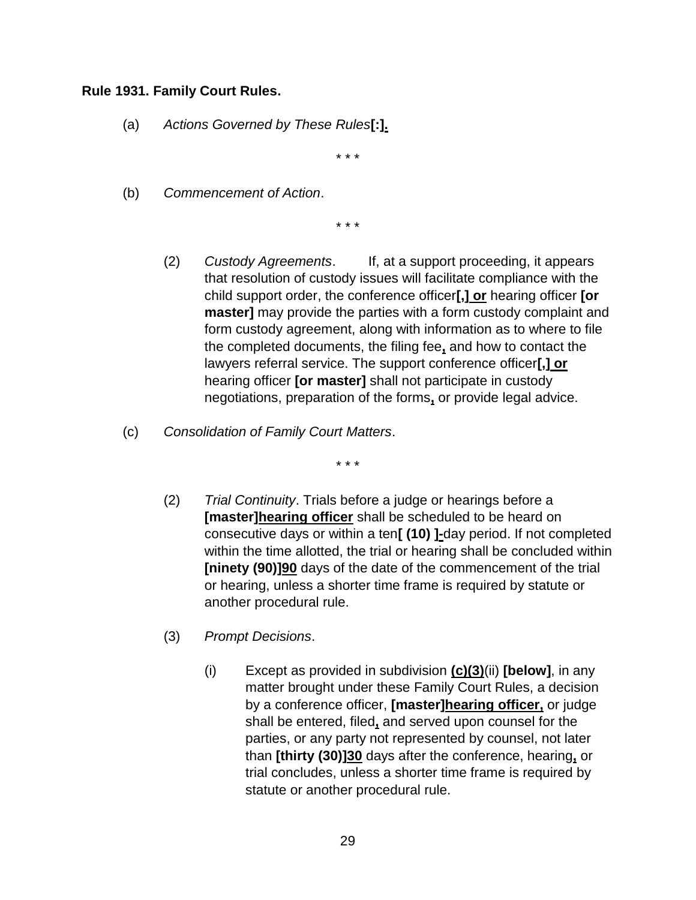#### **Rule 1931. Family Court Rules.**

(a) *Actions Governed by These Rules***[:].**

\* \* \*

(b) *Commencement of Action*.

\* \* \*

- (2) *Custody Agreements*. If, at a support proceeding, it appears that resolution of custody issues will facilitate compliance with the child support order, the conference officer**[,] or** hearing officer **[or master]** may provide the parties with a form custody complaint and form custody agreement, along with information as to where to file the completed documents, the filing fee**,** and how to contact the lawyers referral service. The support conference officer**[,] or** hearing officer **[or master]** shall not participate in custody negotiations, preparation of the forms**,** or provide legal advice.
- (c) *Consolidation of Family Court Matters*.

- (2) *Trial Continuity*. Trials before a judge or hearings before a **[master]hearing officer** shall be scheduled to be heard on consecutive days or within a ten**[ (10) ]-**day period. If not completed within the time allotted, the trial or hearing shall be concluded within **[ninety (90)]90** days of the date of the commencement of the trial or hearing, unless a shorter time frame is required by statute or another procedural rule.
- (3) *Prompt Decisions*.
	- (i) Except as provided in subdivision **(c)(3)**(ii) **[below]**, in any matter brought under these Family Court Rules, a decision by a conference officer, **[master]hearing officer,** or judge shall be entered, filed**,** and served upon counsel for the parties, or any party not represented by counsel, not later than **[thirty (30)]30** days after the conference, hearing**,** or trial concludes, unless a shorter time frame is required by statute or another procedural rule.